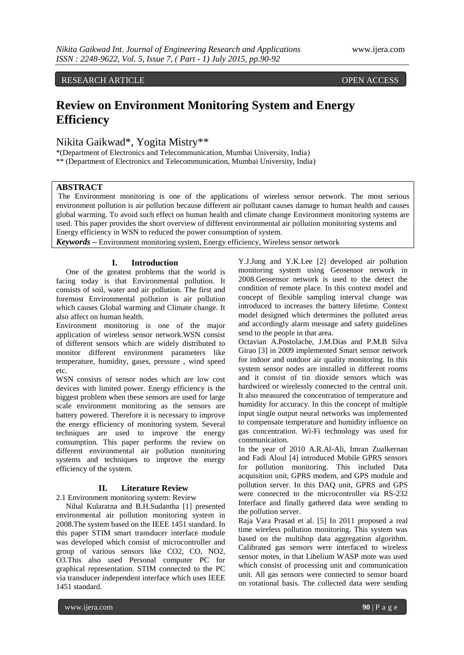RESEARCH ARTICLE OPEN ACCESS

# **Review on Environment Monitoring System and Energy Efficiency**

Nikita Gaikwad\*, Yogita Mistry\*\*

\*(Department of Electronics and Telecommunication, Mumbai University, India)

\*\* (Department of Electronics and Telecommunication, Mumbai University, India)

# **ABSTRACT**

The Environment monitoring is one of the applications of wireless sensor network. The most serious environment pollution is air pollution because different air pollutant causes damage to human health and causes global warming. To avoid such effect on human health and climate change Environment monitoring systems are used. This paper provides the short overview of different environmental air pollution monitoring systems and Energy efficiency in WSN to reduced the power consumption of system.

*Keywords* **–** Environment monitoring system, Energy efficiency, Wireless sensor network

## **I. Introduction**

 One of the greatest problems that the world is facing today is that Environmental pollution. It consists of soil, water and air pollution. The first and foremost Environmental pollution is air pollution which causes Global warming and Climate change. It also affect on human health.

Environment monitoring is one of the major application of wireless sensor network.WSN consist of different sensors which are widely distributed to monitor different environment parameters like temperature, humidity, gases, pressure , wind speed etc.

WSN consists of sensor nodes which are low cost devices with limited power. Energy efficiency is the biggest problem when these sensors are used for large scale environment monitoring as the sensors are battery powered. Therefore it is necessary to improve the energy efficiency of monitoring system. Several techniques are used to improve the energy consumption. This paper performs the review on different environmental air pollution monitoring systems and techniques to improve the energy efficiency of the system.

#### **II. Literature Review**

2.1 Environment monitoring system: Review

 Nihal Kularatna and B.H.Sudantha [1] presented environmental air pollution monitoring system in 2008.The system based on the IEEE 1451 standard. In this paper STIM smart transducer interface module was developed which consist of microcontroller and group of various sensors like CO2, CO, NO2, O3.This also used Personal computer PC for graphical representation. STIM connected to the PC via transducer independent interface which uses IEEE 1451 standard.

Y.J.Jung and Y.K.Lee [2] developed air pollution monitoring system using Geosensor network in 2008.Geosensor network is used to the detect the condition of remote place. In this context model and concept of flexible sampling interval change was introduced to increases the battery lifetime. Context model designed which determines the polluted areas and accordingly alarm message and safety guidelines send to the people in that area.

Octavian A.Postolache, J.M.Dias and P.M.B Silva Girao [3] in 2009 implemented Smart sensor network for indoor and outdoor air quality monitoring. In this system sensor nodes are installed in different rooms and it consist of tin dioxide sensors which was hardwired or wirelessly connected to the central unit. It also measured the concentration of temperature and humidity for accuracy. In this the concept of multiple input single output neural networks was implemented to compensate temperature and humidity influence on gas concentration. Wi-Fi technology was used for communication.

In the year of 2010 A.R.Al-Ali, Imran Zualkernan and Fadi Aloul [4] introduced Mobile GPRS sensors for pollution monitoring. This included Data acquisition unit, GPRS modem, and GPS module and pollution server. In this DAQ unit, GPRS and GPS were connected to the microcontroller via RS-232 Interface and finally gathered data were sending to the pollution server.

Raja Vara Prasad et al. [5] In 2011 proposed a real time wireless pollution monitoring. This system was based on the multihop data aggregation algorithm. Calibrated gas sensors were interfaced to wireless sensor motes, in that Libelium WASP mote was used which consist of processing unit and communication unit. All gas sensors were connected to sensor board on rotational basis. The collected data were sending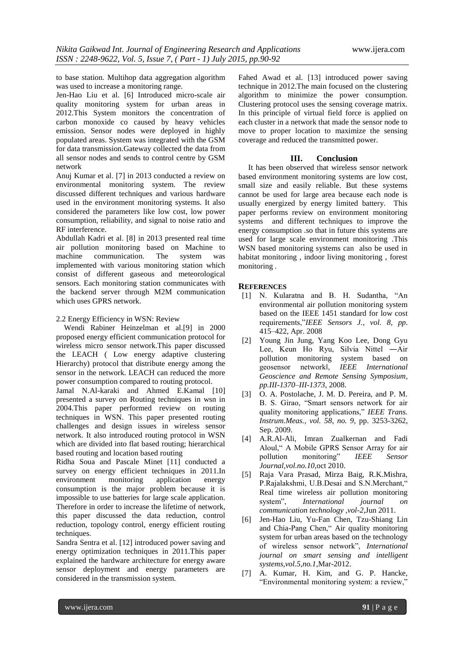to base station. Multihop data aggregation algorithm was used to increase a monitoring range.

Jen-Hao Liu et al. [6] Introduced micro-scale air quality monitoring system for urban areas in 2012.This System monitors the concentration of carbon monoxide co caused by heavy vehicles emission. Sensor nodes were deployed in highly populated areas. System was integrated with the GSM for data transmission.Gateway collected the data from all sensor nodes and sends to control centre by GSM network

Anuj Kumar et al. [7] in 2013 conducted a review on environmental monitoring system. The review discussed different techniques and various hardware used in the environment monitoring systems. It also considered the parameters like low cost, low power consumption, reliability, and signal to noise ratio and RF interference.

Abdullah Kadri et al. [8] in 2013 presented real time air pollution monitoring based on Machine to machine communication. The system was implemented with various monitoring station which consist of different gaseous and meteorological sensors. Each monitoring station communicates with the backend server through M2M communication which uses GPRS network.

#### 2.2 Energy Efficiency in WSN: Review

 Wendi Rabiner Heinzelman et al.[9] in 2000 proposed energy efficient communication protocol for wireless micro sensor network.This paper discussed the LEACH ( Low energy adaptive clustering Hierarchy) protocol that distribute energy among the sensor in the network. LEACH can reduced the more power consumption compared to routing protocol.

Jamal N.Al-karaki and Ahmed E.Kamal [10] presented a survey on Routing techniques in wsn in 2004.This paper performed review on routing techniques in WSN. This paper presented routing challenges and design issues in wireless sensor network. It also introduced routing protocol in WSN which are divided into flat based routing; hierarchical based routing and location based routing

Ridha Soua and Pascale Minet [11] conducted a survey on energy efficient techniques in 2011.In environment monitoring application energy consumption is the major problem because it is impossible to use batteries for large scale application. Therefore in order to increase the lifetime of network, this paper discussed the data reduction, control reduction, topology control, energy efficient routing techniques.

Sandra Sentra et al. [12] introduced power saving and energy optimization techniques in 2011.This paper explained the hardware architecture for energy aware sensor deployment and energy parameters are considered in the transmission system.

Fahed Awad et al. [13] introduced power saving technique in 2012.The main focused on the clustering algorithm to minimize the power consumption. Clustering protocol uses the sensing coverage matrix. In this principle of virtual field force is applied on each cluster in a network that made the sensor node to move to proper location to maximize the sensing coverage and reduced the transmitted power.

## **III. Conclusion**

 It has been observed that wireless sensor network based environment monitoring systems are low cost, small size and easily reliable. But these systems cannot be used for large area because each node is usually energized by energy limited battery. This paper performs review on environment monitoring systems and different techniques to improve the energy consumption .so that in future this systems are used for large scale environment monitoring .This WSN based monitoring systems can also be used in habitat monitoring , indoor living monitoring , forest monitoring .

#### **REFERENCES**

- [1] N. Kularatna and B. H. Sudantha, "An environmental air pollution monitoring system based on the IEEE 1451 standard for low cost requirements,"*IEEE Sensors J., vol. 8, pp*. 415–422, Apr. 2008
- [2] Young Jin Jung, Yang Koo Lee, Dong Gyu Lee, Keun Ho Ryu, Silvia Nittel ―Air pollution monitoring system based on geosensor network‖, *IEEE International Geoscience and Remote Sensing Symposium, pp.III-1370–III-1373*, 2008.
- [3] O. A. Postolache, J. M. D. Pereira, and P. M. B. S. Girao, "Smart sensors network for air quality monitoring applications," *IEEE Trans. Instrum.Meas., vol. 58, no. 9*, pp. 3253-3262, Sep. 2009.
- [4] A.R.Al-Ali, Imran Zualkernan and Fadi Aloul," A Mobile GPRS Sensor Array for air pollution monitoring" *IEEE Sensor Journal,vol.no.10*,oct 2010.
- [5] Raja Vara Prasad, Mirza Baig, R.K.Mishra, P.Rajalakshmi, U.B.Desai and S.N.Merchant," Real time wireless air pollution monitoring system", *International journal communication technology ,vol-2*,Jun 2011.
- [6] Jen-Hao Liu, Yu-Fan Chen, Tzu-Shiang Lin and Chia-Pang Chen," Air quality monitoring system for urban areas based on the technology of wireless sensor network", *International journal on smart sensing and intelligent systems,vol.5,no.1*,Mar-2012.
- [7] A. Kumar, H. Kim, and G. P. Hancke, "Environmental monitoring system: a review,"